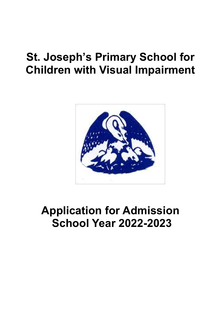# **St. Joseph's Primary School for Children with Visual Impairment**



# **Application for Admission School Year 2022-2023**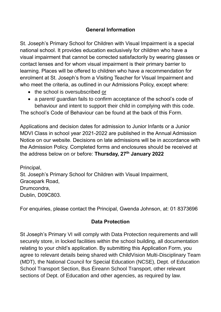### **General Information**

St. Joseph's Primary School for Children with Visual Impairment is a special national school. It provides education exclusively for children who have a visual impairment that cannot be corrected satisfactorily by wearing glasses or contact lenses and for whom visual impairment is their primary barrier to learning. Places will be offered to children who have a recommendation for enrolment at St. Joseph's from a Visiting Teacher for Visual Impairment and who meet the criteria, as outlined in our Admissions Policy, except where:

- the school is oversubscribed or
- a parent/ quardian fails to confirm acceptance of the school's code of behaviour and intent to support their child in complying with this code.

The school's Code of Behaviour can be found at the back of this Form.

Applications and decision dates for admission to Junior Infants or a Junior MDVI Class in school year 2021-2022 are published in the Annual Admission Notice on our website. Decisions on late admissions will be in accordance with the Admission Policy. Completed forms and enclosures should be received at the address below on or before: **Thursday, 27 th January 2022**

Principal, St. Joseph's Primary School for Children with Visual Impairment, Gracepark Road, Drumcondra, Dublin, D09C803.

For enquiries, please contact the Principal, Gwenda Johnson, at: 01 8373696

### **Data Protection**

St Joseph's Primary VI will comply with Data Protection requirements and will securely store, in locked facilities within the school building, all documentation relating to your child's application. By submitting this Application Form, you agree to relevant details being shared with ChildVision Multi-Disciplinary Team (MDT), the National Council for Special Education (NCSE), Dept. of Education School Transport Section, Bus Éireann School Transport, other relevant sections of Dept. of Education and other agencies, as required by law.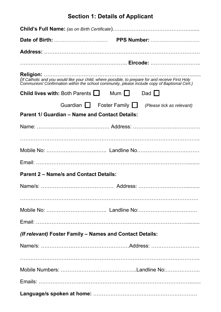# **Section 1: Details of Applicant**

| (If Catholic and you would like your child, where possible, to prepare for and receive First Holy | Communion/Confirmation within the school community, please include copy of Baptismal Cert.) |  |  |
|---------------------------------------------------------------------------------------------------|---------------------------------------------------------------------------------------------|--|--|
| <b>Child lives with:</b> Both Parents $\Box$ Mum $\Box$ Dad $\Box$                                |                                                                                             |  |  |
|                                                                                                   | Guardian $\Box$ Foster Family $\Box$ (Please tick as relevant)                              |  |  |
| Parent 1/ Guardian - Name and Contact Details:                                                    |                                                                                             |  |  |
|                                                                                                   |                                                                                             |  |  |
|                                                                                                   |                                                                                             |  |  |
|                                                                                                   |                                                                                             |  |  |
|                                                                                                   |                                                                                             |  |  |
| <b>Parent 2 – Name/s and Contact Details:</b>                                                     |                                                                                             |  |  |
|                                                                                                   |                                                                                             |  |  |
|                                                                                                   |                                                                                             |  |  |
|                                                                                                   |                                                                                             |  |  |
|                                                                                                   |                                                                                             |  |  |
|                                                                                                   |                                                                                             |  |  |
| (If relevant) Foster Family - Names and Contact Details:                                          |                                                                                             |  |  |
|                                                                                                   |                                                                                             |  |  |
|                                                                                                   |                                                                                             |  |  |
|                                                                                                   |                                                                                             |  |  |
|                                                                                                   |                                                                                             |  |  |
|                                                                                                   |                                                                                             |  |  |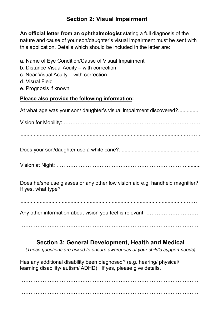# **Section 2: Visual Impairment**

**An official letter from an ophthalmologist** stating a full diagnosis of the nature and cause of your son/daughter's visual impairment must be sent with this application. Details which should be included in the letter are:

| a. Name of Eye Condition/Cause of Visual Impairment<br>b. Distance Visual Acuity – with correction<br>c. Near Visual Acuity – with correction<br>d. Visual Field<br>e. Prognosis if known |
|-------------------------------------------------------------------------------------------------------------------------------------------------------------------------------------------|
| Please also provide the following information:                                                                                                                                            |
| At what age was your son/ daughter's visual impairment discovered?                                                                                                                        |
|                                                                                                                                                                                           |
|                                                                                                                                                                                           |
|                                                                                                                                                                                           |
|                                                                                                                                                                                           |
| Does he/she use glasses or any other low vision aid e.g. handheld magnifier?<br>If yes, what type?                                                                                        |
|                                                                                                                                                                                           |

Any other information about vision you feel is relevant: …………………………

………………………………………………………………………………………….

# **Section 3: General Development, Health and Medical**

*(These questions are asked to ensure awareness of your child's support needs)*

Has any additional disability been diagnosed? (e.g. hearing/ physical/ learning disability/ autism/ ADHD) If yes, please give details.

………………………………………………………………………………………….

………………………………………………………………………………………….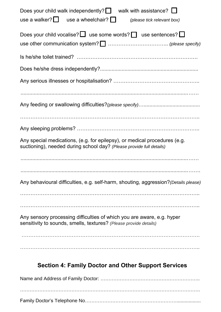| walk with assistance? $\Box$<br>Does your child walk independently? $\Box$<br>use a walker? $\Box$ use a wheelchair? $\Box$<br>(please tick relevant box) |
|-----------------------------------------------------------------------------------------------------------------------------------------------------------|
| Does your child vocalise? $\Box$ use some words? $\Box$ use sentences? $\Box$                                                                             |
|                                                                                                                                                           |
|                                                                                                                                                           |
|                                                                                                                                                           |
|                                                                                                                                                           |
|                                                                                                                                                           |
|                                                                                                                                                           |
|                                                                                                                                                           |
| Any special medications, (e.g. for epilepsy), or medical procedures (e.g.<br>suctioning), needed during school day? (Please provide full details)         |
|                                                                                                                                                           |
| Any behavioural difficulties, e.g. self-harm, shouting, aggression? (Details please)                                                                      |
|                                                                                                                                                           |
| Any sensory processing difficulties of which you are aware, e.g. hyper<br>sensitivity to sounds, smells, textures? (Please provide details)               |
|                                                                                                                                                           |
|                                                                                                                                                           |
|                                                                                                                                                           |

# **Section 4: Family Doctor and Other Support Services**

Name and Address of Family Doctor: …………………………………………………….. …………………………………………………………………………………………………. Family Doctor's Telephone No…………………………………………………..................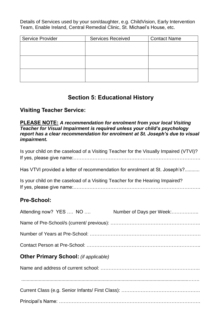Details of Services used by your son/daughter, e.g. ChildVision, Early Intervention Team, Enable Ireland, Central Remedial Clinic, St. Michael's House, etc.

| <b>Service Provider</b> | <b>Services Received</b> | <b>Contact Name</b> |
|-------------------------|--------------------------|---------------------|
|                         |                          |                     |
|                         |                          |                     |
|                         |                          |                     |
|                         |                          |                     |
|                         |                          |                     |
|                         |                          |                     |

## **Section 5: Educational History**

#### **Visiting Teacher Service:**

#### **PLEASE NOTE:** *A recommendation for enrolment from your local Visiting Teacher for Visual Impairment is required unless your child's psychology report has a clear recommendation for enrolment at St. Joseph's due to visual impairment.*

Is your child on the caseload of a Visiting Teacher for the Visually Impaired (VTVI)? If yes, please give name:…………………………………………………………………….

Has VTVI provided a letter of recommendation for enrolment at St. Joseph's?...........

Is your child on the caseload of a Visiting Teacher for the Hearing Impaired? If yes, please give name:…………………………………………………………………….

### **Pre-School:**

| Attending now? YES  NO  NO Number of Days per Week:                                                                                                                                                                                                                                                                                                                                                                                         |  |
|---------------------------------------------------------------------------------------------------------------------------------------------------------------------------------------------------------------------------------------------------------------------------------------------------------------------------------------------------------------------------------------------------------------------------------------------|--|
|                                                                                                                                                                                                                                                                                                                                                                                                                                             |  |
|                                                                                                                                                                                                                                                                                                                                                                                                                                             |  |
|                                                                                                                                                                                                                                                                                                                                                                                                                                             |  |
| <b>Other Primary School:</b> (if applicable)                                                                                                                                                                                                                                                                                                                                                                                                |  |
|                                                                                                                                                                                                                                                                                                                                                                                                                                             |  |
| $\begin{minipage}{0.5\textwidth} \begin{tabular}{ l l l } \hline \multicolumn{1}{ l l l } \hline \multicolumn{1}{ l l } \multicolumn{1}{ l } \multicolumn{1}{ l } \multicolumn{1}{ l } \multicolumn{1}{ l } \multicolumn{1}{ l } \multicolumn{1}{ l } \multicolumn{1}{ l } \multicolumn{1}{ l } \multicolumn{1}{ l } \multicolumn{1}{ l } \multicolumn{1}{ l } \multicolumn{1}{ l } \multicolumn{1}{ l } \multicolumn{1}{ l } \multicolumn$ |  |
|                                                                                                                                                                                                                                                                                                                                                                                                                                             |  |
|                                                                                                                                                                                                                                                                                                                                                                                                                                             |  |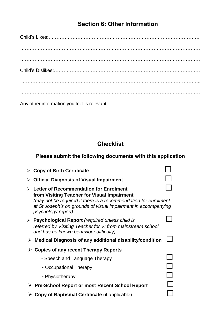# **Section 6: Other Information**

# **Checklist**

# **Please submit the following documents with this application**

| $\triangleright$ Copy of Birth Certificate                                                                                                                                                                                                            |  |
|-------------------------------------------------------------------------------------------------------------------------------------------------------------------------------------------------------------------------------------------------------|--|
| <b>Official Diagnosis of Visual Impairment</b><br>➤                                                                                                                                                                                                   |  |
| Letter of Recommendation for Enrolment<br>≻<br>from Visiting Teacher for Visual Impairment<br>(may not be required if there is a recommendation for enrolment<br>at St Joseph's on grounds of visual impairment in accompanying<br>psychology report) |  |
| <b>Psychological Report</b> (required unless child is<br>➤<br>referred by Visiting Teacher for VI from mainstream school<br>and has no known behaviour difficulty)                                                                                    |  |
| $\triangleright$ Medical Diagnosis of any additional disability/condition                                                                                                                                                                             |  |
| <b>Copies of any recent Therapy Reports</b>                                                                                                                                                                                                           |  |
| - Speech and Language Therapy                                                                                                                                                                                                                         |  |
| - Occupational Therapy                                                                                                                                                                                                                                |  |
| - Physiotherapy                                                                                                                                                                                                                                       |  |
| ≻ Pre-School Report or most Recent School Report                                                                                                                                                                                                      |  |
| <b>Copy of Baptismal Certificate (if applicable)</b>                                                                                                                                                                                                  |  |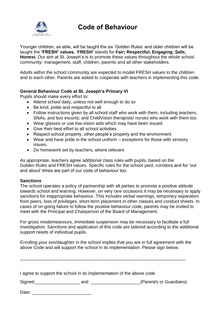

# **Code of Behaviour**

Younger children, as able, will be taught the six 'Golden Rules' and older children will be taught the **'FRESH' values.** '**FRESH'** stands for **Fair; Respectful; Engaging; Safe; Honest.** Our aim at St. Joseph's is to promote these values throughout the whole school community: management, staff, children, parents and all other stakeholders.

Adults within the school community are expected to model FRESH values to the children and to each other. Parents are asked to cooperate with teachers in implementing this code. 

#### **General Behaviour Code at St. Joseph's Primary VI**

Pupils should make every effort to:

- Attend school daily, unless not well enough to do so
- Be kind, polite and respectful to all
- Follow instructions given by all school staff who work with them, including teachers, SNAs, and bus escorts; and ChildVision therapists/ nurses who work with them too.
- Wear glasses or use low vision aids which may have been issued
- Give their best effort to all school activities
- Respect school property, other people's property and the environment
- Wear and have pride in the school uniform exceptions for those with sensory issues.
- Do homework set by teachers, where relevant

As appropriate, teachers agree additional class rules with pupils, based on the Golden Rules and FRESH values. Specific rules for the school yard, corridors and for 'out and about' times are part of our code of behaviour too.

#### **Sanctions**

The school operates a policy of partnership with all parties to promote a positive attitude towards school and learning. However, on very rare occasions it may be necessary to apply sanctions for inappropriate behaviour. This includes verbal warnings, temporary separation from peers, loss of privileges, short-term placement in other classes and conduct sheets. In cases of on-going failure to follow the positive behaviour code, parents may be invited to meet with the Principal and Chairperson of the Board of Management.

For gross misdemeanours, immediate suspension may be necessary to facilitate a full investigation. Sanctions and application of this code are tailored according to the additional support needs of individual pupils.

Enrolling your son/daughter in the school implies that you are in full agreement with the above Code and will support the school in its implementation. Please sign below.

| I agree to support the school in its implementation of the above code. |  |  |
|------------------------------------------------------------------------|--|--|

Signed:\_\_\_\_\_\_\_\_\_\_\_\_\_\_\_\_\_\_ and \_\_\_\_\_\_\_\_\_\_\_\_\_\_\_\_\_\_\_\_(Parent/s or Guardians)

\_\_\_\_\_\_\_\_\_\_\_\_\_\_\_\_\_\_\_\_\_\_\_\_\_\_\_\_\_\_\_\_\_\_\_\_\_\_\_\_\_\_\_\_\_\_\_\_\_\_\_\_\_\_\_\_\_\_\_\_\_\_\_\_\_\_\_

| Date: |  |
|-------|--|
|       |  |